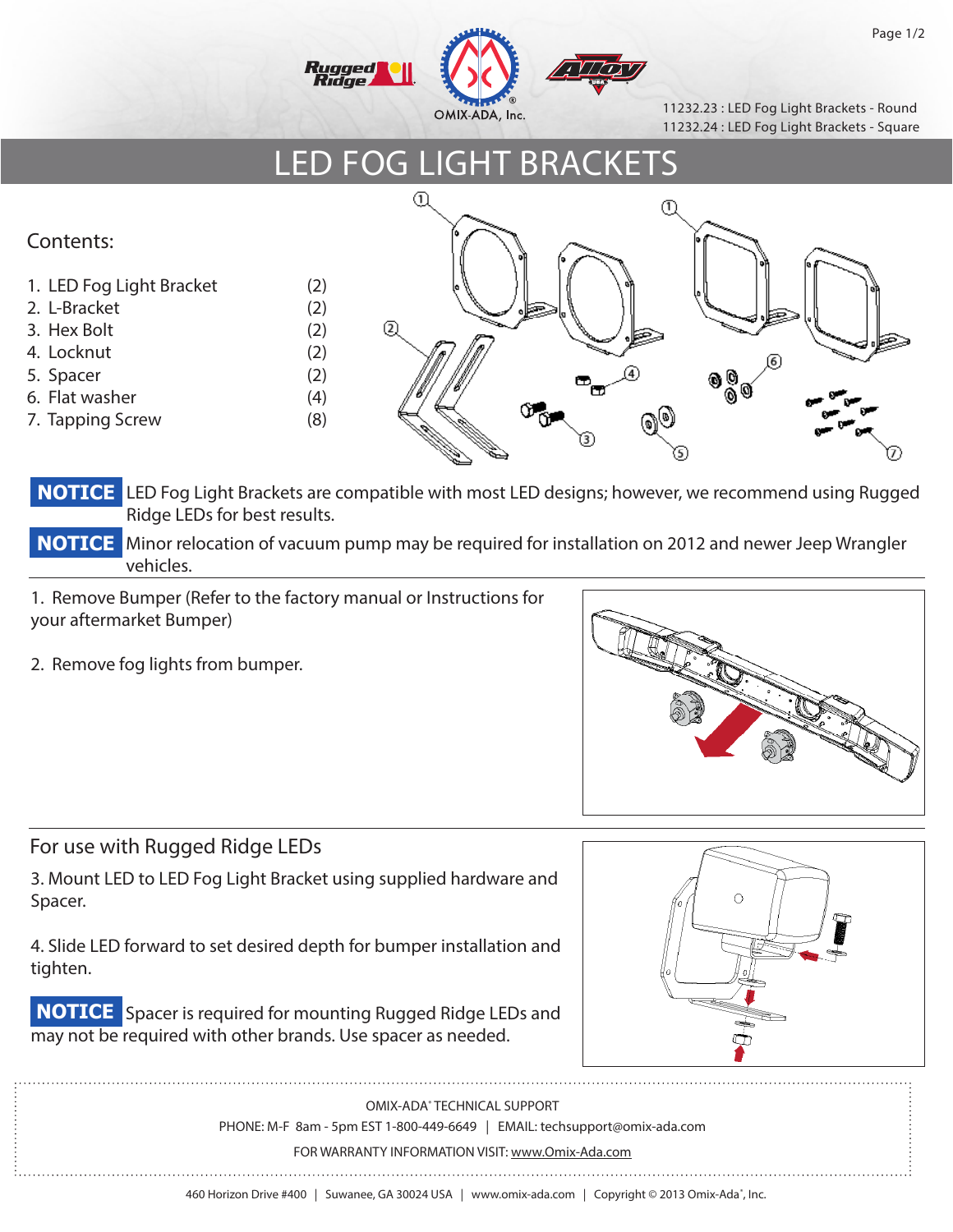

11232.23 : LED Fog Light Brackets - Round 11232.24 : LED Fog Light Brackets - Square

## LED FOG LIGHT BRACKETS



**NOTICE** LED Fog Light Brackets are compatible with most LED designs; however, we recommend using Rugged Ridge LEDs for best results.

**NOTICE** Minor relocation of vacuum pump may be required for installation on 2012 and newer Jeep Wrangler vehicles.

1. Remove Bumper (Refer to the factory manual or Instructions for your aftermarket Bumper)

2. Remove fog lights from bumper.



## For use with Rugged Ridge LEDs

l

!!

3. Mount LED to LED Fog Light Bracket using supplied hardware and Spacer.

4. Slide LED forward to set desired depth for bumper installation and tighten.



**NOTICE** Spacer is required for mounting Rugged Ridge LEDs and may not be required with other brands. Use spacer as needed.

> OMIX-ADA® TECHNICAL SUPPORT PHONE: M-F 8am - 5pm EST 1-800-449-6649 | EMAIL: techsupport@omix-ada.com

FOR WARRANTY INFORMATION VISIT: www.Omix-Ada.com